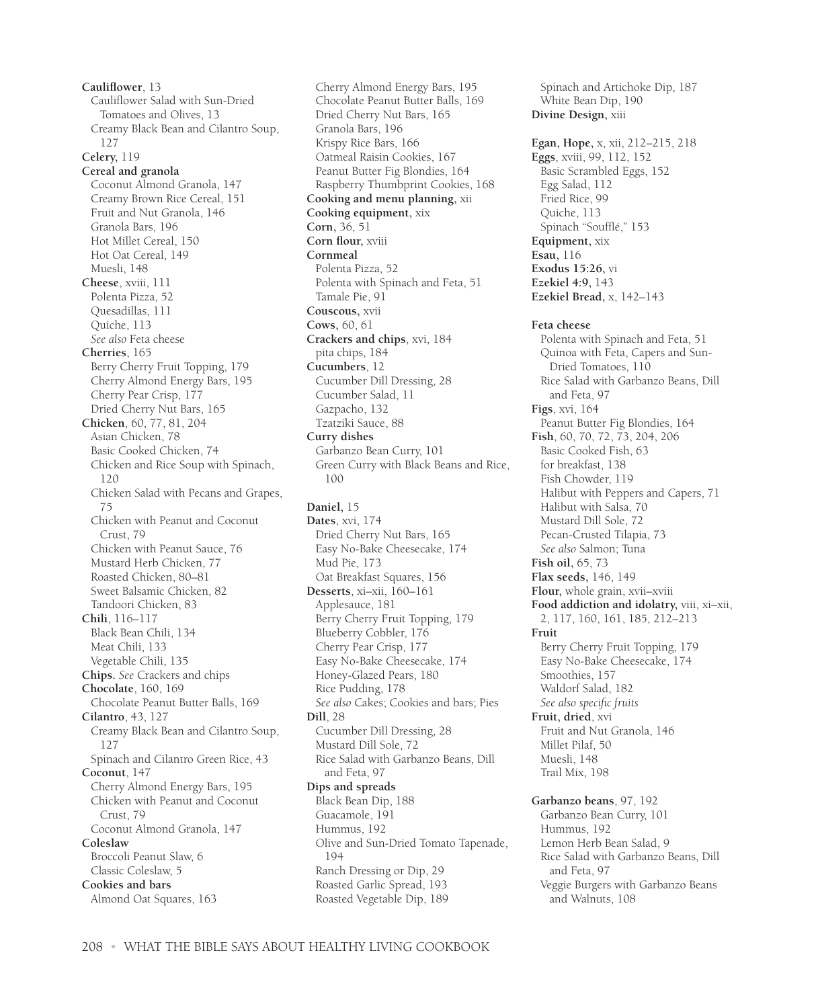**Cauliflower**, 13 Cauliflower Salad with Sun-Dried Tomatoes and Olives, 13 Creamy Black Bean and Cilantro Soup, 127 **Celery,** 119 **Cereal and granola** Coconut Almond Granola, 147 Creamy Brown Rice Cereal, 151 Fruit and Nut Granola, 146 Granola Bars, 196 Hot Millet Cereal, 150 Hot Oat Cereal, 149 Muesli, 148 **Cheese**, xviii, 111 Polenta Pizza, 52 Quesadillas, 111 Quiche, 113 *See also* Feta cheese **Cherries**, 165 Berry Cherry Fruit Topping, 179 Cherry Almond Energy Bars, 195 Cherry Pear Crisp, 177 Dried Cherry Nut Bars, 165 **Chicken**, 60, 77, 81, 204 Asian Chicken, 78 Basic Cooked Chicken, 74 Chicken and Rice Soup with Spinach, 120 Chicken Salad with Pecans and Grapes, 75 Chicken with Peanut and Coconut Crust, 79 Chicken with Peanut Sauce, 76 Mustard Herb Chicken, 77 Roasted Chicken, 80–81 Sweet Balsamic Chicken, 82 Tandoori Chicken, 83 **Chili**, 116–117 Black Bean Chili, 134 Meat Chili, 133 Vegetable Chili, 135 **Chips.** *See* Crackers and chips **Chocolate**, 160, 169 Chocolate Peanut Butter Balls, 169 **Cilantro**, 43, 127 Creamy Black Bean and Cilantro Soup, 127 Spinach and Cilantro Green Rice, 43 **Coconut**, 147 Cherry Almond Energy Bars, 195 Chicken with Peanut and Coconut Crust, 79 Coconut Almond Granola, 147 **Coleslaw** Broccoli Peanut Slaw, 6 Classic Coleslaw, 5 **Cookies and bars** Almond Oat Squares, 163

Cherry Almond Energy Bars, 195 Chocolate Peanut Butter Balls, 169 Dried Cherry Nut Bars, 165 Granola Bars, 196 Krispy Rice Bars, 166 Oatmeal Raisin Cookies, 167 Peanut Butter Fig Blondies, 164 Raspberry Thumbprint Cookies, 168 **Cooking and menu planning,** xii **Cooking equipment,** xix **Corn,** 36, 51 **Corn flour,** xviii **Cornmeal** Polenta Pizza, 52 Polenta with Spinach and Feta, 51 Tamale Pie, 91 **Couscous,** xvii **Cows,** 60, 61 **Crackers and chips**, xvi, 184 pita chips, 184 **Cucumbers**, 12 Cucumber Dill Dressing, 28 Cucumber Salad, 11 Gazpacho, 132 Tzatziki Sauce, 88 **Curry dishes** Garbanzo Bean Curry, 101 Green Curry with Black Beans and Rice, 100 **Daniel,** 15 **Dates**, xvi, 174 Dried Cherry Nut Bars, 165 Easy No-Bake Cheesecake, 174 Mud Pie, 173 Oat Breakfast Squares, 156 **Desserts**, xi–xii, 160–161 Applesauce, 181 Berry Cherry Fruit Topping, 179 Blueberry Cobbler, 176 Cherry Pear Crisp, 177 Easy No-Bake Cheesecake, 174 Honey-Glazed Pears, 180 Rice Pudding, 178 *See also* Cakes; Cookies and bars; Pies **Dill**, 28 Cucumber Dill Dressing, 28 Mustard Dill Sole, 72 Rice Salad with Garbanzo Beans, Dill and Feta, 97 **Dips and spreads** Black Bean Dip, 188 Guacamole, 191 Hummus, 192 Olive and Sun-Dried Tomato Tapenade, 194 Ranch Dressing or Dip, 29 Roasted Garlic Spread, 193 Roasted Vegetable Dip, 189

White Bean Dip, 190 **Divine Design,** xiii **Egan, Hope,** x, xii, 212–215, 218 **Eggs**, xviii, 99, 112, 152 Basic Scrambled Eggs, 152 Egg Salad, 112 Fried Rice, 99 Quiche, 113 Spinach "Soufflé," 153 **Equipment,** xix **Esau,** 116 **Exodus 15:26,** vi **Ezekiel 4:9,** 143 **Ezekiel Bread,** x, 142–143 **Feta cheese** Polenta with Spinach and Feta, 51 Quinoa with Feta, Capers and Sun-Dried Tomatoes, 110 Rice Salad with Garbanzo Beans, Dill and Feta, 97 **Figs**, xvi, 164 Peanut Butter Fig Blondies, 164 **Fish**, 60, 70, 72, 73, 204, 206 Basic Cooked Fish, 63 for breakfast, 138 Fish Chowder, 119 Halibut with Peppers and Capers, 71 Halibut with Salsa, 70 Mustard Dill Sole, 72 Pecan-Crusted Tilapia, 73 *See also* Salmon; Tuna **Fish oil,** 65, 73 **Flax seeds,** 146, 149 **Flour,** whole grain, xvii–xviii **Food addiction and idolatry,** viii, xi–xii, 2, 117, 160, 161, 185, 212–213 **Fruit** Berry Cherry Fruit Topping, 179 Easy No-Bake Cheesecake, 174 Smoothies, 157 Waldorf Salad, 182 *See also specific fruits* **Fruit, dried**, xvi Fruit and Nut Granola, 146 Millet Pilaf, 50 Muesli, 148 Trail Mix, 198 **Garbanzo beans**, 97, 192 Garbanzo Bean Curry, 101 Hummus, 192 Lemon Herb Bean Salad, 9 Rice Salad with Garbanzo Beans, Dill and Feta, 97 Veggie Burgers with Garbanzo Beans and Walnuts, 108

Spinach and Artichoke Dip, 187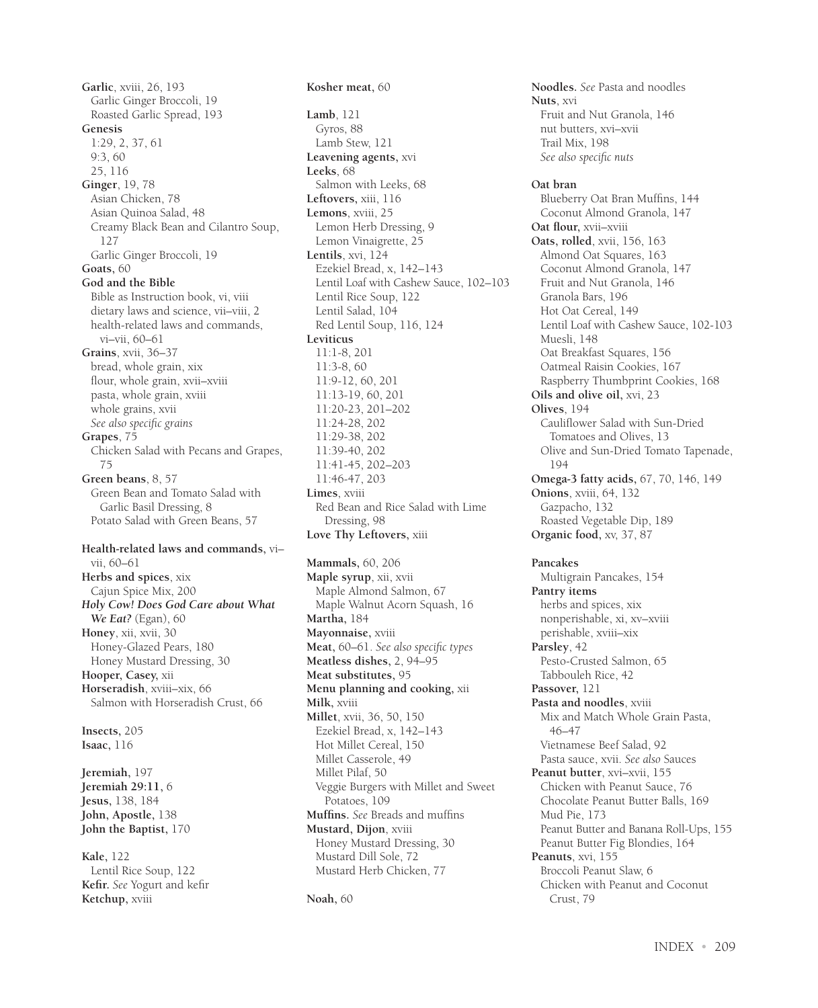**Garlic**, xviii, 26, 193 Garlic Ginger Broccoli, 19 Roasted Garlic Spread, 193 **Genesis** 1:29, 2, 37, 61 9:3, 60 25, 116 **Ginger**, 19, 78 Asian Chicken, 78 Asian Quinoa Salad, 48 Creamy Black Bean and Cilantro Soup, 127 Garlic Ginger Broccoli, 19 **Goats,** 60 **God and the Bible** Bible as Instruction book, vi, viii dietary laws and science, vii–viii, 2 health-related laws and commands, vi–vii, 60–61 **Grains**, xvii, 36–37 bread, whole grain, xix flour, whole grain, xvii–xviii pasta, whole grain, xviii whole grains, xvii *See also specific grains* **Grapes**, 75 Chicken Salad with Pecans and Grapes, 75 **Green beans**, 8, 57 Green Bean and Tomato Salad with Garlic Basil Dressing, 8 Potato Salad with Green Beans, 57 **Health-related laws and commands,** vi– vii, 60–61 **Herbs and spices**, xix Cajun Spice Mix, 200 *Holy Cow! Does God Care about What We Eat?* (Egan), 60 **Honey**, xii, xvii, 30 Honey-Glazed Pears, 180 Honey Mustard Dressing, 30 **Hooper, Casey,** xii **Horseradish**, xviii–xix, 66 Salmon with Horseradish Crust, 66 **Insects,** 205 **Isaac,** 116 **Jeremiah,** 197 **Jeremiah 29:11,** 6 **Jesus,** 138, 184 **John, Apostle,** 138 **John the Baptist,** 170 **Kale,** 122 Lentil Rice Soup, 122

**Kefir.** *See* Yogurt and kefir

**Ketchup,** xviii

**Kosher meat,** 60 **Lamb**, 121 Gyros, 88 Lamb Stew, 121 **Leavening agents,** xvi **Leeks**, 68 Salmon with Leeks, 68 **Leftovers,** xiii, 116 **Lemons**, xviii, 25 Lemon Herb Dressing, 9 Lemon Vinaigrette, 25 **Lentils**, xvi, 124 Ezekiel Bread, x, 142–143 Lentil Loaf with Cashew Sauce, 102–103 Lentil Rice Soup, 122 Lentil Salad, 104 Red Lentil Soup, 116, 124 **Leviticus** 11:1-8, 201 11:3-8, 60 11:9-12, 60, 201 11:13-19, 60, 201 11:20-23, 201–202 11:24-28, 202 11:29-38, 202 11:39-40, 202 11:41-45, 202–203 11:46-47, 203 **Limes**, xviii Red Bean and Rice Salad with Lime Dressing, 98 **Love Thy Leftovers,** xiii **Mammals,** 60, 206 **Maple syrup**, xii, xvii Maple Almond Salmon, 67 Maple Walnut Acorn Squash, 16 **Martha,** 184 **Mayonnaise,** xviii **Meat,** 60–61. *See also specific types* **Meatless dishes,** 2, 94–95 **Meat substitutes,** 95 **Menu planning and cooking,** xii **Milk,** xviii **Millet**, xvii, 36, 50, 150 Ezekiel Bread, x, 142–143 Hot Millet Cereal, 150 Millet Casserole, 49 Millet Pilaf, 50 Veggie Burgers with Millet and Sweet Potatoes, 109 **Muffins.** *See* Breads and muffins **Mustard, Dijon**, xviii Honey Mustard Dressing, 30 Mustard Dill Sole, 72 Mustard Herb Chicken, 77

**Noah,** 60

**Noodles.** *See* Pasta and noodles **Nuts**, xvi Fruit and Nut Granola, 146 nut butters, xvi–xvii Trail Mix, 198 *See also specific nuts* **Oat bran** Blueberry Oat Bran Muffins, 144 Coconut Almond Granola, 147 **Oat flour,** xvii–xviii **Oats, rolled**, xvii, 156, 163 Almond Oat Squares, 163 Coconut Almond Granola, 147 Fruit and Nut Granola, 146 Granola Bars, 196 Hot Oat Cereal, 149 Lentil Loaf with Cashew Sauce, 102-103 Muesli, 148 Oat Breakfast Squares, 156 Oatmeal Raisin Cookies, 167 Raspberry Thumbprint Cookies, 168 **Oils and olive oil,** xvi, 23 **Olives**, 194 Cauliflower Salad with Sun-Dried Tomatoes and Olives, 13 Olive and Sun-Dried Tomato Tapenade, 194 **Omega-3 fatty acids,** 67, 70, 146, 149 **Onions**, xviii, 64, 132 Gazpacho, 132 Roasted Vegetable Dip, 189 **Organic food,** xv, 37, 87 **Pancakes** Multigrain Pancakes, 154

**Pantry items** herbs and spices, xix nonperishable, xi, xv–xviii perishable, xviii–xix **Parsley**, 42 Pesto-Crusted Salmon, 65 Tabbouleh Rice, 42 **Passover,** 121 **Pasta and noodles**, xviii Mix and Match Whole Grain Pasta, 46–47 Vietnamese Beef Salad, 92 Pasta sauce, xvii. *See also* Sauces **Peanut butter**, xvi–xvii, 155 Chicken with Peanut Sauce, 76 Chocolate Peanut Butter Balls, 169 Mud Pie, 173 Peanut Butter and Banana Roll-Ups, 155 Peanut Butter Fig Blondies, 164 **Peanuts**, xvi, 155 Broccoli Peanut Slaw, 6 Chicken with Peanut and Coconut Crust, 79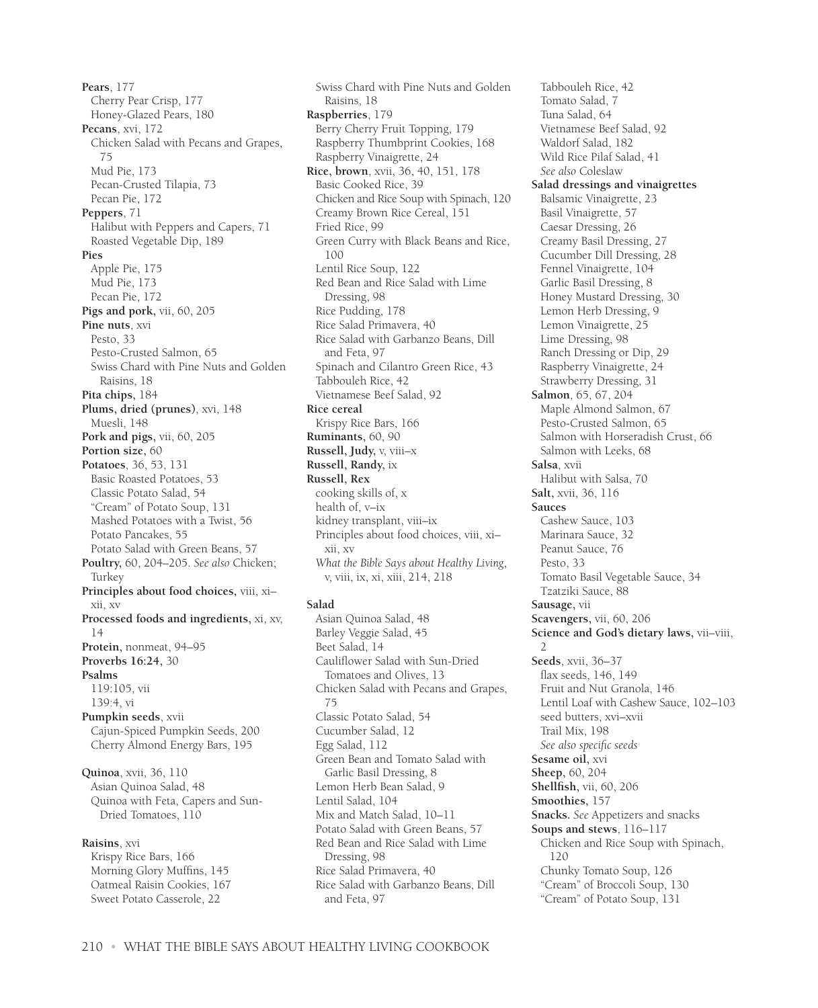**Pears**, 177 Cherry Pear Crisp, 177 Honey-Glazed Pears, 180 **Pecans**, xvi, 172 Chicken Salad with Pecans and Grapes, 75 Mud Pie, 173 Pecan-Crusted Tilapia, 73 Pecan Pie, 172 **Peppers**, 71 Halibut with Peppers and Capers, 71 Roasted Vegetable Dip, 189 **Pies** Apple Pie, 175 Mud Pie, 173 Pecan Pie, 172 **Pigs and pork,** vii, 60, 205 **Pine nuts**, xvi Pesto, 33 Pesto-Crusted Salmon, 65 Swiss Chard with Pine Nuts and Golden Raisins, 18 **Pita chips,** 184 **Plums, dried (prunes)**, xvi, 148 Muesli, 148 **Pork and pigs,** vii, 60, 205 **Portion size,** 60 **Potatoes**, 36, 53, 131 Basic Roasted Potatoes, 53 Classic Potato Salad, 54 "Cream" of Potato Soup, 131 Mashed Potatoes with a Twist, 56 Potato Pancakes, 55 Potato Salad with Green Beans, 57 **Poultry,** 60, 204–205. *See also* Chicken; Turkey **Principles about food choices,** viii, xi– xii, xv **Processed foods and ingredients,** xi, xv, 14 **Protein,** nonmeat, 94–95 **Proverbs 16:24,** 30 **Psalms** 119:105, vii 139:4, vi **Pumpkin seeds**, xvii Cajun-Spiced Pumpkin Seeds, 200 Cherry Almond Energy Bars, 195 **Quinoa**, xvii, 36, 110 Asian Quinoa Salad, 48 Quinoa with Feta, Capers and Sun-Dried Tomatoes, 110 **Raisins**, xvi Krispy Rice Bars, 166 Morning Glory Muffins, 145 Oatmeal Raisin Cookies, 167 Sweet Potato Casserole, 22

Swiss Chard with Pine Nuts and Golden Raisins, 18 **Raspberries**, 179 Berry Cherry Fruit Topping, 179 Raspberry Thumbprint Cookies, 168 Raspberry Vinaigrette, 24 **Rice, brown**, xvii, 36, 40, 151, 178 Basic Cooked Rice, 39 Chicken and Rice Soup with Spinach, 120 Creamy Brown Rice Cereal, 151 Fried Rice, 99 Green Curry with Black Beans and Rice, 100 Lentil Rice Soup, 122 Red Bean and Rice Salad with Lime Dressing, 98 Rice Pudding, 178 Rice Salad Primavera, 40 Rice Salad with Garbanzo Beans, Dill and Feta, 97 Spinach and Cilantro Green Rice, 43 Tabbouleh Rice, 42 Vietnamese Beef Salad, 92 **Rice cereal** Krispy Rice Bars, 166 **Ruminants,** 60, 90 **Russell, Judy,** v, viii–x **Russell, Randy,** ix **Russell, Rex** cooking skills of, x health of, v–ix kidney transplant, viii–ix Principles about food choices, viii, xi– xii, xv *What the Bible Says about Healthy Living*, v, viii, ix, xi, xiii, 214, 218 **Salad** Asian Quinoa Salad, 48

Barley Veggie Salad, 45 Beet Salad, 14 Cauliflower Salad with Sun-Dried Tomatoes and Olives, 13 Chicken Salad with Pecans and Grapes, 75 Classic Potato Salad, 54 Cucumber Salad, 12 Egg Salad, 112 Green Bean and Tomato Salad with Garlic Basil Dressing, 8 Lemon Herb Bean Salad, 9 Lentil Salad, 104 Mix and Match Salad, 10–11 Potato Salad with Green Beans, 57 Red Bean and Rice Salad with Lime Dressing, 98 Rice Salad Primavera, 40 Rice Salad with Garbanzo Beans, Dill and Feta, 97

Tabbouleh Rice, 42 Tomato Salad, 7 Tuna Salad, 64 Vietnamese Beef Salad, 92 Waldorf Salad, 182 Wild Rice Pilaf Salad, 41 *See also* Coleslaw **Salad dressings and vinaigrettes** Balsamic Vinaigrette, 23 Basil Vinaigrette, 57 Caesar Dressing, 26 Creamy Basil Dressing, 27 Cucumber Dill Dressing, 28 Fennel Vinaigrette, 104 Garlic Basil Dressing, 8 Honey Mustard Dressing, 30 Lemon Herb Dressing, 9 Lemon Vinaigrette, 25 Lime Dressing, 98 Ranch Dressing or Dip, 29 Raspberry Vinaigrette, 24 Strawberry Dressing, 31 **Salmon**, 65, 67, 204 Maple Almond Salmon, 67 Pesto-Crusted Salmon, 65 Salmon with Horseradish Crust, 66 Salmon with Leeks, 68 **Salsa**, xvii Halibut with Salsa, 70 **Salt,** xvii, 36, 116 **Sauces** Cashew Sauce, 103 Marinara Sauce, 32 Peanut Sauce, 76 Pesto, 33 Tomato Basil Vegetable Sauce, 34 Tzatziki Sauce, 88 **Sausage,** vii **Scavengers,** vii, 60, 206 **Science and God's dietary laws,** vii–viii,  $\mathcal{L}$ **Seeds**, xvii, 36–37 flax seeds, 146, 149 Fruit and Nut Granola, 146 Lentil Loaf with Cashew Sauce, 102–103 seed butters, xvi–xvii Trail Mix, 198 *See also specific seeds* **Sesame oil,** xvi **Sheep,** 60, 204 **Shellfish,** vii, 60, 206 **Smoothies,** 157 **Snacks.** *See* Appetizers and snacks **Soups and stews**, 116–117 Chicken and Rice Soup with Spinach, 120 Chunky Tomato Soup, 126 "Cream" of Broccoli Soup, 130 "Cream" of Potato Soup, 131